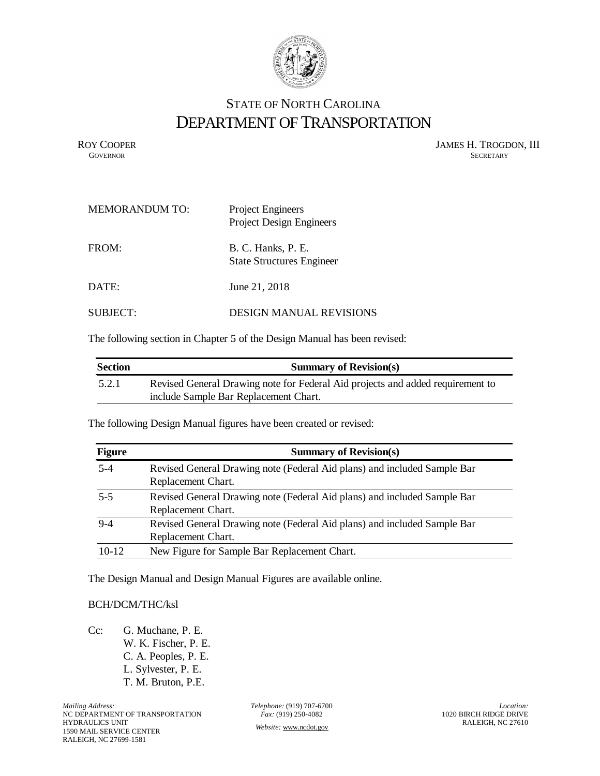

## STATE OF NORTH CAROLINA DEPARTMENT OF TRANSPORTATION

ROY COOPER JAMES H. TROGDON, III GOVERNOR SECRETARY SECRETARY **GOVERNOR** SECRETARY

| <b>MEMORANDUM TO:</b> | <b>Project Engineers</b><br><b>Project Design Engineers</b> |
|-----------------------|-------------------------------------------------------------|
| FROM:                 | B. C. Hanks, P. E.<br><b>State Structures Engineer</b>      |
| DATE:                 | June 21, 2018                                               |
| SUBJECT:              | <b>DESIGN MANUAL REVISIONS</b>                              |

The following section in Chapter 5 of the Design Manual has been revised:

| <b>Section</b> | <b>Summary of Revision(s)</b>                                                  |
|----------------|--------------------------------------------------------------------------------|
| 5.2.1          | Revised General Drawing note for Federal Aid projects and added requirement to |
|                | include Sample Bar Replacement Chart.                                          |

The following Design Manual figures have been created or revised:

| <b>Figure</b> | <b>Summary of Revision(s)</b>                                                                  |
|---------------|------------------------------------------------------------------------------------------------|
| $5 - 4$       | Revised General Drawing note (Federal Aid plans) and included Sample Bar<br>Replacement Chart. |
| $5-5$         | Revised General Drawing note (Federal Aid plans) and included Sample Bar<br>Replacement Chart. |
| $9-4$         | Revised General Drawing note (Federal Aid plans) and included Sample Bar<br>Replacement Chart. |
| $10 - 12$     | New Figure for Sample Bar Replacement Chart.                                                   |

The Design Manual and Design Manual Figures are available online.

## BCH/DCM/THC/ksl

Cc: G. Muchane, P. E. W. K. Fischer, P. E. C. A. Peoples, P. E. L. Sylvester, P. E. T. M. Bruton, P.E.

*Mailing Address:*  NC DEPARTMENT OF TRANSPORTATION HYDRAULICS UNIT 1590 MAIL SERVICE CENTER RALEIGH, NC 27699-1581

*Telephone:* (919) 707-6700 *Fax:* (919) 250-4082 *Website:* [www.ncdot.gov](http://www.ncdot.gov/)

*Location:*  1020 BIRCH RIDGE DRIVE RALEIGH, NC 27610